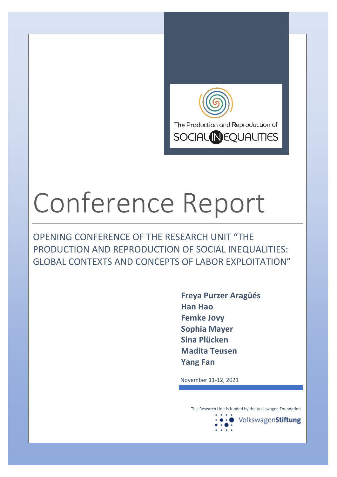

## Conference Report

OPENING CONFERENCE OF THE RESEARCH UNIT "THE PRODUCTION AND REPRODUCTION OF SOCIAL INEQUALITIES: GLOBAL CONTEXTS AND CONCEPTS OF LABOR EXPLOITATION"

> **Freya Purzer Aragüés Han Hao Femke Jovy Sophia Mayer Sina Plücken Madita Teusen Yang Fan**

November 11-12, 2021

This Research Unit is funded by the Volkswagen Foundation.

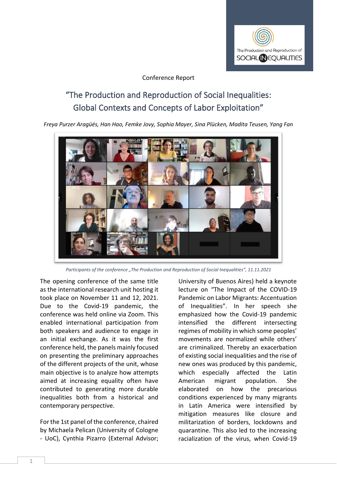

## Conference Report

## "The Production and Reproduction of Social Inequalities: Global Contexts and Concepts of Labor Exploitation"

*Freya Purzer Aragüés, Han Hao, Femke Jovy, Sophia Mayer, Sina Plücken, Madita Teusen, Yang Fan*



*Participants of the conference "The Production and Reproduction of Social Inequalities", 11.11.2021*

The opening conference of the same title as the international research unit hosting it took place on November 11 and 12, 2021. Due to the Covid-19 pandemic, the conference was held online via Zoom. This enabled international participation from both speakers and audience to engage in an initial exchange. As it was the first conference held, the panels mainly focused on presenting the preliminary approaches of the different projects of the unit, whose main objective is to analyze how attempts aimed at increasing equality often have contributed to generating more durable inequalities both from a historical and contemporary perspective.

For the 1st panel of the conference, chaired by Michaela Pelican (University of Cologne - UoC), Cynthia Pizarro (External Advisor; University of Buenos Aires) held a keynote lecture on "The Impact of the COVID-19 Pandemic on Labor Migrants: Accentuation of Inequalities". In her speech she emphasized how the Covid-19 pandemic intensified the different intersecting regimes of mobility in which some peoples' movements are normalized while others' are criminalized. Thereby an exacerbation of existing social inequalities and the rise of new ones was produced by this pandemic, which especially affected the Latin American migrant population. She elaborated on how the precarious conditions experienced by many migrants in Latin America were intensified by mitigation measures like closure and militarization of borders, lockdowns and quarantine. This also led to the increasing racialization of the virus, when Covid-19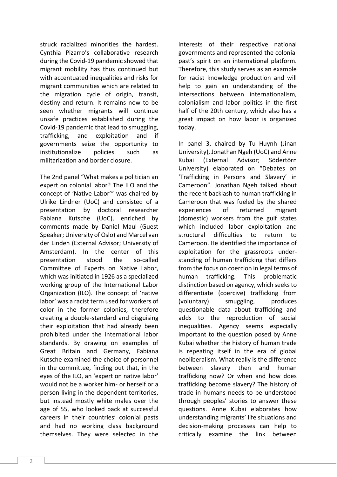struck racialized minorities the hardest. Cynthia Pizarro's collaborative research during the Covid-19 pandemic showed that migrant mobility has thus continued but with accentuated inequalities and risks for migrant communities which are related to the migration cycle of origin, transit, destiny and return. It remains now to be seen whether migrants will continue unsafe practices established during the Covid-19 pandemic that lead to smuggling, trafficking, and exploitation and if governments seize the opportunity to institutionalize policies such as militarization and border closure.

The 2nd panel "What makes a politician an expert on colonial labor? The ILO and the concept of 'Native Labor'" was chaired by Ulrike Lindner (UoC) and consisted of a presentation by doctoral researcher Fabiana Kutsche (UoC), enriched by comments made by Daniel Maul (Guest Speaker; University of Oslo) and Marcel van der Linden (External Advisor; University of Amsterdam). In the center of this presentation stood the so-called Committee of Experts on Native Labor, which was initiated in 1926 as a specialized working group of the International Labor Organization (ILO). The concept of 'native labor' was a racist term used for workers of color in the former colonies, therefore creating a double-standard and disguising their exploitation that had already been prohibited under the international labor standards. By drawing on examples of Great Britain and Germany, Fabiana Kutsche examined the choice of personnel in the committee, finding out that, in the eyes of the ILO, an 'expert on native labor' would not be a worker him- or herself or a person living in the dependent territories, but instead mostly white males over the age of 55, who looked back at successful careers in their countries' colonial pasts and had no working class background themselves. They were selected in the

interests of their respective national governments and represented the colonial past's spirit on an international platform. Therefore, this study serves as an example for racist knowledge production and will help to gain an understanding of the intersections between internationalism, colonialism and labor politics in the first half of the 20th century, which also has a great impact on how labor is organized today.

In panel 3, chaired by Tu Huynh (Jinan University), Jonathan Ngeh (UoC) and Anne Kubai (External Advisor; Södertörn University) elaborated on "Debates on 'Trafficking in Persons and Slavery' in Cameroon". Jonathan Ngeh talked about the recent backlash to human trafficking in Cameroon that was fueled by the shared experiences of returned migrant (domestic) workers from the gulf states which included labor exploitation and structural difficulties to return to Cameroon. He identified the importance of exploitation for the grassroots understanding of human trafficking that differs from the focus on coercion in legal terms of human trafficking. This problematic distinction based on agency, which seeks to differentiate (coercive) trafficking from (voluntary) smuggling, produces questionable data about trafficking and adds to the reproduction of social inequalities. Agency seems especially important to the question posed by Anne Kubai whether the history of human trade is repeating itself in the era of global neoliberalism. What really is the difference between slavery then and human trafficking now? Or when and how does trafficking become slavery? The history of trade in humans needs to be understood through peoples' stories to answer these questions. Anne Kubai elaborates how understanding migrants' life situations and decision-making processes can help to critically examine the link between